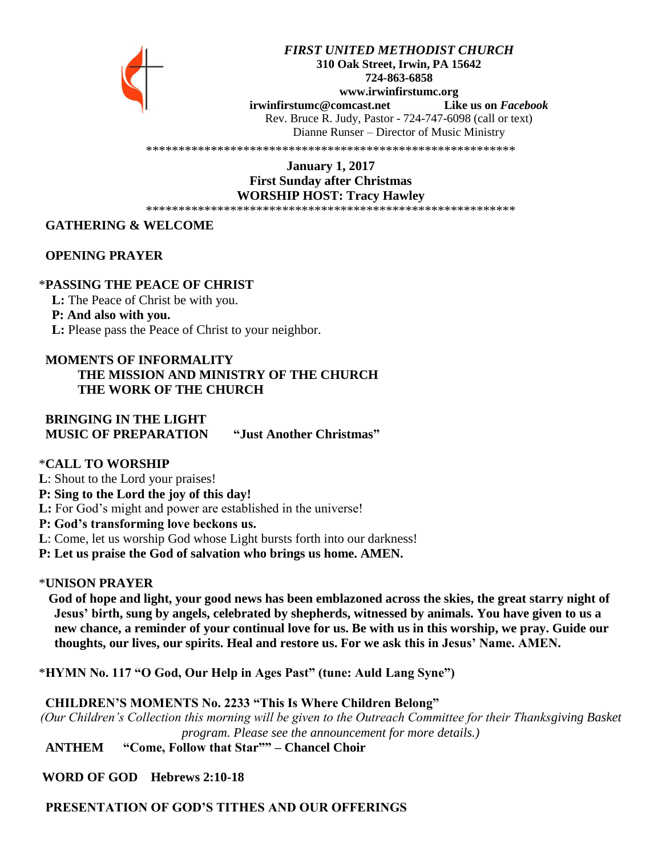

#### *FIRST UNITED METHODIST CHURCH* **310 Oak Street, Irwin, PA 15642 724-863-6858 www.irwinfirstumc.org [irwinfirstumc@comcast.net](mailto:irwinfirstumc@comcast.net) Like us on** *Facebook* Rev. Bruce R. Judy, Pastor - 724-747-6098 (call or text) Dianne Runser – Director of Music Ministry

\*\*\*\*\*\*\*\*\*\*\*\*\*\*\*\*\*\*\*\*\*\*\*\*\*\*\*\*\*\*\*\*\*\*\*\*\*\*\*\*\*\*\*\*\*\*\*\*\*\*\*\*\*\*\*\*\*

**January 1, 2017 First Sunday after Christmas WORSHIP HOST: Tracy Hawley** \*\*\*\*\*\*\*\*\*\*\*\*\*\*\*\*\*\*\*\*\*\*\*\*\*\*\*\*\*\*\*\*\*\*\*\*\*\*\*\*\*\*\*\*\*\*\*\*\*\*\*\*\*\*\*\*\*

# **GATHERING & WELCOME**

#### **OPENING PRAYER**

#### \***PASSING THE PEACE OF CHRIST**

 **L:** The Peace of Christ be with you.  **P: And also with you. L:** Please pass the Peace of Christ to your neighbor.

# **MOMENTS OF INFORMALITY**

# **THE MISSION AND MINISTRY OF THE CHURCH THE WORK OF THE CHURCH**

 **BRINGING IN THE LIGHT MUSIC OF PREPARATION "Just Another Christmas"**

#### \***CALL TO WORSHIP**

**L**: Shout to the Lord your praises! **P: Sing to the Lord the joy of this day! L:** For God's might and power are established in the universe! **P: God's transforming love beckons us. L**: Come, let us worship God whose Light bursts forth into our darkness! **P: Let us praise the God of salvation who brings us home. AMEN.**

#### \***UNISON PRAYER**

 **God of hope and light, your good news has been emblazoned across the skies, the great starry night of Jesus' birth, sung by angels, celebrated by shepherds, witnessed by animals. You have given to us a new chance, a reminder of your continual love for us. Be with us in this worship, we pray. Guide our thoughts, our lives, our spirits. Heal and restore us. For we ask this in Jesus' Name. AMEN.**

\***HYMN No. 117 "O God, Our Help in Ages Past" (tune: Auld Lang Syne")**

 **CHILDREN'S MOMENTS No. 2233 "This Is Where Children Belong"**

*(Our Children's Collection this morning will be given to the Outreach Committee for their Thanksgiving Basket program. Please see the announcement for more details.)*

 **ANTHEM "Come, Follow that Star"" – Chancel Choir**

**WORD OF GOD Hebrews 2:10-18**

**PRESENTATION OF GOD'S TITHES AND OUR OFFERINGS**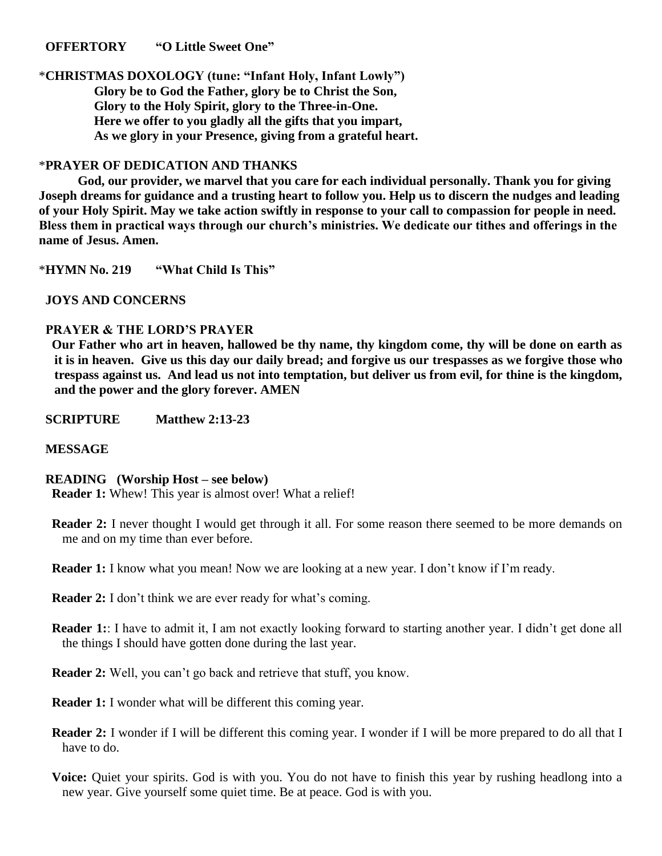#### **OFFERTORY "O Little Sweet One"**

\***CHRISTMAS DOXOLOGY (tune: "Infant Holy, Infant Lowly") Glory be to God the Father, glory be to Christ the Son, Glory to the Holy Spirit, glory to the Three-in-One. Here we offer to you gladly all the gifts that you impart, As we glory in your Presence, giving from a grateful heart.**

#### \***PRAYER OF DEDICATION AND THANKS**

**God, our provider, we marvel that you care for each individual personally. Thank you for giving Joseph dreams for guidance and a trusting heart to follow you. Help us to discern the nudges and leading of your Holy Spirit. May we take action swiftly in response to your call to compassion for people in need. Bless them in practical ways through our church's ministries. We dedicate our tithes and offerings in the name of Jesus. Amen.**

\***HYMN No. 219 "What Child Is This"**

 **JOYS AND CONCERNS**

#### **PRAYER & THE LORD'S PRAYER**

 **Our Father who art in heaven, hallowed be thy name, thy kingdom come, thy will be done on earth as it is in heaven. Give us this day our daily bread; and forgive us our trespasses as we forgive those who trespass against us. And lead us not into temptation, but deliver us from evil, for thine is the kingdom, and the power and the glory forever. AMEN** 

**SCRIPTURE Matthew 2:13-23**

#### **MESSAGE**

#### **READING (Worship Host – see below)**

 **Reader 1:** Whew! This year is almost over! What a relief!

- **Reader 2:** I never thought I would get through it all. For some reason there seemed to be more demands on me and on my time than ever before.
- **Reader 1:** I know what you mean! Now we are looking at a new year. I don't know if I'm ready.
- **Reader 2:** I don't think we are ever ready for what's coming.
- **Reader 1:** I have to admit it, I am not exactly looking forward to starting another year. I didn't get done all the things I should have gotten done during the last year.

**Reader 2:** Well, you can't go back and retrieve that stuff, you know.

**Reader 1:** I wonder what will be different this coming year.

- **Reader 2:** I wonder if I will be different this coming year. I wonder if I will be more prepared to do all that I have to do.
- **Voice:** Quiet your spirits. God is with you. You do not have to finish this year by rushing headlong into a new year. Give yourself some quiet time. Be at peace. God is with you.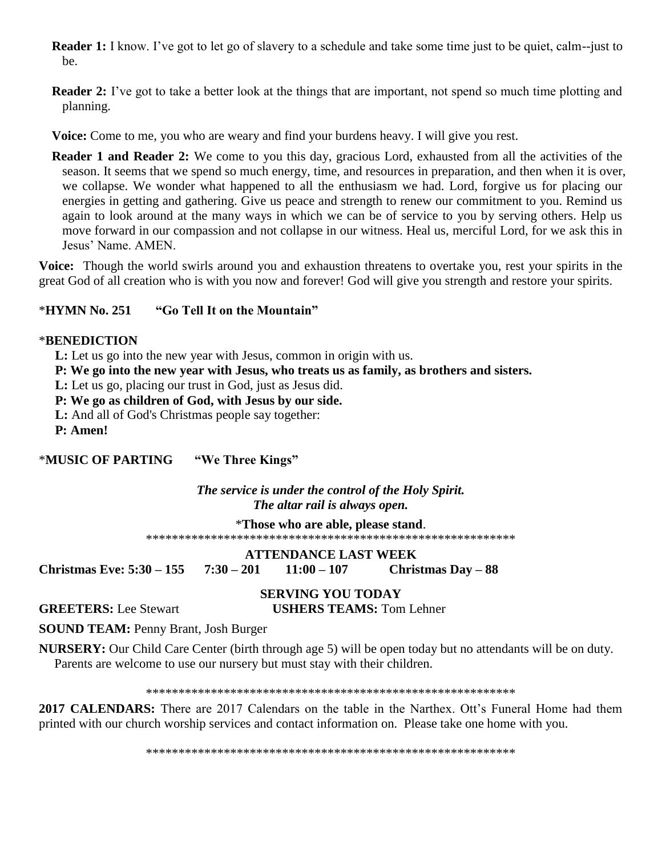- **Reader 1:** I know. I've got to let go of slavery to a schedule and take some time just to be quiet, calm--just to be.
- **Reader 2:** I've got to take a better look at the things that are important, not spend so much time plotting and planning.
- **Voice:** Come to me, you who are weary and find your burdens heavy. I will give you rest.
- **Reader 1 and Reader 2:** We come to you this day, gracious Lord, exhausted from all the activities of the season. It seems that we spend so much energy, time, and resources in preparation, and then when it is over, we collapse. We wonder what happened to all the enthusiasm we had. Lord, forgive us for placing our energies in getting and gathering. Give us peace and strength to renew our commitment to you. Remind us again to look around at the many ways in which we can be of service to you by serving others. Help us move forward in our compassion and not collapse in our witness. Heal us, merciful Lord, for we ask this in Jesus' Name. AMEN.

**Voice:** Though the world swirls around you and exhaustion threatens to overtake you, rest your spirits in the great God of all creation who is with you now and forever! God will give you strength and restore your spirits.

## \***HYMN No. 251 "Go Tell It on the Mountain"**

#### \***BENEDICTION**

 **L:** Let us go into the new year with Jesus, common in origin with us.

**P: We go into the new year with Jesus, who treats us as family, as brothers and sisters.** 

 **L:** Let us go, placing our trust in God, just as Jesus did.

- **P: We go as children of God, with Jesus by our side.**
- **L:** And all of God's Christmas people say together:

**P: Amen!**

\***MUSIC OF PARTING "We Three Kings"**

### *The service is under the control of the Holy Spirit. The altar rail is always open.*

\***Those who are able, please stand**.

\*\*\*\*\*\*\*\*\*\*\*\*\*\*\*\*\*\*\*\*\*\*\*\*\*\*\*\*\*\*\*\*\*\*\*\*\*\*\*\*\*\*\*\*\*\*\*\*\*\*\*\*\*\*\*\*\*

**ATTENDANCE LAST WEEK Christmas Eve: 5:30 – 155 7:30 – 201 11:00 – 107 Christmas Day – 88**

**SERVING YOU TODAY**

**GREETERS:** Lee Stewart **USHERS TEAMS:** Tom Lehner

**SOUND TEAM:** Penny Brant, Josh Burger

**NURSERY:** Our Child Care Center (birth through age 5) will be open today but no attendants will be on duty. Parents are welcome to use our nursery but must stay with their children.

\*\*\*\*\*\*\*\*\*\*\*\*\*\*\*\*\*\*\*\*\*\*\*\*\*\*\*\*\*\*\*\*\*\*\*\*\*\*\*\*\*\*\*\*\*\*\*\*\*\*\*\*\*\*\*\*\*

2017 CALENDARS: There are 2017 Calendars on the table in the Narthex. Ott's Funeral Home had them printed with our church worship services and contact information on. Please take one home with you.

\*\*\*\*\*\*\*\*\*\*\*\*\*\*\*\*\*\*\*\*\*\*\*\*\*\*\*\*\*\*\*\*\*\*\*\*\*\*\*\*\*\*\*\*\*\*\*\*\*\*\*\*\*\*\*\*\*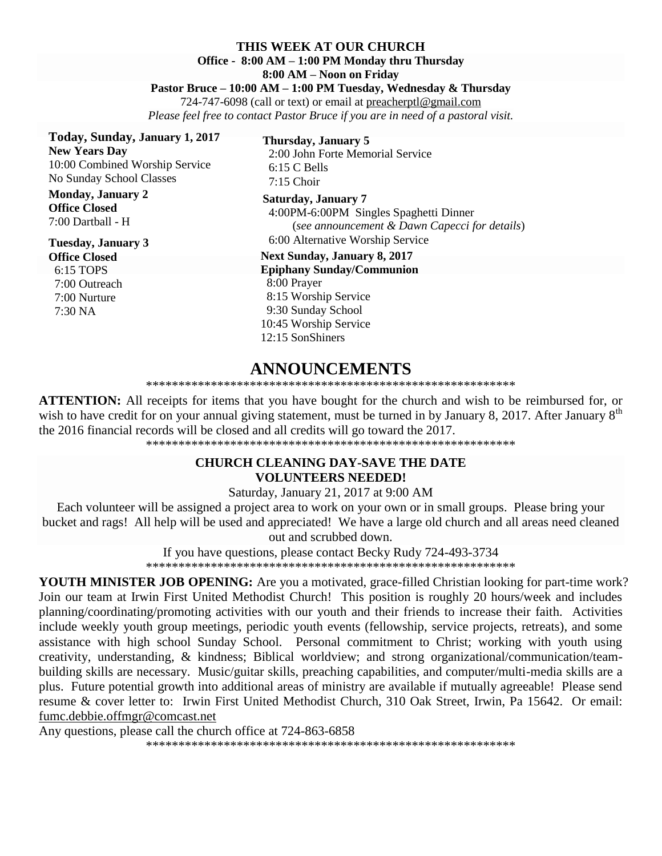#### **THIS WEEK AT OUR CHURCH Office - 8:00 AM – 1:00 PM Monday thru Thursday**

#### **8:00 AM – Noon on Friday**

#### **Pastor Bruce – 10:00 AM – 1:00 PM Tuesday, Wednesday & Thursday**

724-747-6098 (call or text) or email at [preacherptl@gmail.com](mailto:preacherptl@gmail.com)

*Please feel free to contact Pastor Bruce if you are in need of a pastoral visit.*

**Today, Sunday, January 1, 2017 New Years Day** 

10:00 Combined Worship Service No Sunday School Classes

**Monday, January 2 Office Closed** 7:00 Dartball - H

# **Tuesday, January 3**

**Office Closed** 6:15 TOPS 7:00 Outreach

 7:00 Nurture 7:30 NA

**Thursday, January 5** 2:00 John Forte Memorial Service 6:15 C Bells 7:15 Choir

**Saturday, January 7** 4:00PM-6:00PM Singles Spaghetti Dinner (*see announcement & Dawn Capecci for details*) 6:00 Alternative Worship Service

**Next Sunday, January 8, 2017 Epiphany Sunday/Communion** 8:00 Prayer 8:15 Worship Service 9:30 Sunday School 10:45 Worship Service 12:15 SonShiners

# **ANNOUNCEMENTS**

#### \*\*\*\*\*\*\*\*\*\*\*\*\*\*\*\*\*\*\*\*\*\*\*\*\*\*\*\*\*\*\*\*\*\*\*\*\*\*\*\*\*\*\*\*\*\*\*\*\*\*\*\*\*\*\*\*\*

**ATTENTION:** All receipts for items that you have bought for the church and wish to be reimbursed for, or wish to have credit for on your annual giving statement, must be turned in by January 8, 2017. After January 8<sup>th</sup> the 2016 financial records will be closed and all credits will go toward the 2017.

\*\*\*\*\*\*\*\*\*\*\*\*\*\*\*\*\*\*\*\*\*\*\*\*\*\*\*\*\*\*\*\*\*\*\*\*\*\*\*\*\*\*\*\*\*\*\*\*\*\*\*\*\*\*\*\*\*

#### **CHURCH CLEANING DAY-SAVE THE DATE VOLUNTEERS NEEDED!**

Saturday, January 21, 2017 at 9:00 AM

Each volunteer will be assigned a project area to work on your own or in small groups. Please bring your bucket and rags! All help will be used and appreciated! We have a large old church and all areas need cleaned out and scrubbed down.

If you have questions, please contact Becky Rudy 724-493-3734

\*\*\*\*\*\*\*\*\*\*\*\*\*\*\*\*\*\*\*\*\*\*\*\*\*\*\*\*\*\*\*\*\*\*\*\*\*\*\*\*\*\*\*\*\*\*\*\*\*\*\*\*\*\*\*\*\*

**YOUTH MINISTER JOB OPENING:** Are you a motivated, grace-filled Christian looking for part-time work? Join our team at Irwin First United Methodist Church! This position is roughly 20 hours/week and includes planning/coordinating/promoting activities with our youth and their friends to increase their faith. Activities include weekly youth group meetings, periodic youth events (fellowship, service projects, retreats), and some assistance with high school Sunday School. Personal commitment to Christ; working with youth using creativity, understanding, & kindness; Biblical worldview; and strong organizational/communication/teambuilding skills are necessary. Music/guitar skills, preaching capabilities, and computer/multi-media skills are a plus. Future potential growth into additional areas of ministry are available if mutually agreeable! Please send resume & cover letter to: Irwin First United Methodist Church, 310 Oak Street, Irwin, Pa 15642. Or email: [fumc.debbie.offmgr@comcast.net](mailto:fumc.debbie.offmgr@comcast.net) 

Any questions, please call the church office at 724-863-6858 \*\*\*\*\*\*\*\*\*\*\*\*\*\*\*\*\*\*\*\*\*\*\*\*\*\*\*\*\*\*\*\*\*\*\*\*\*\*\*\*\*\*\*\*\*\*\*\*\*\*\*\*\*\*\*\*\*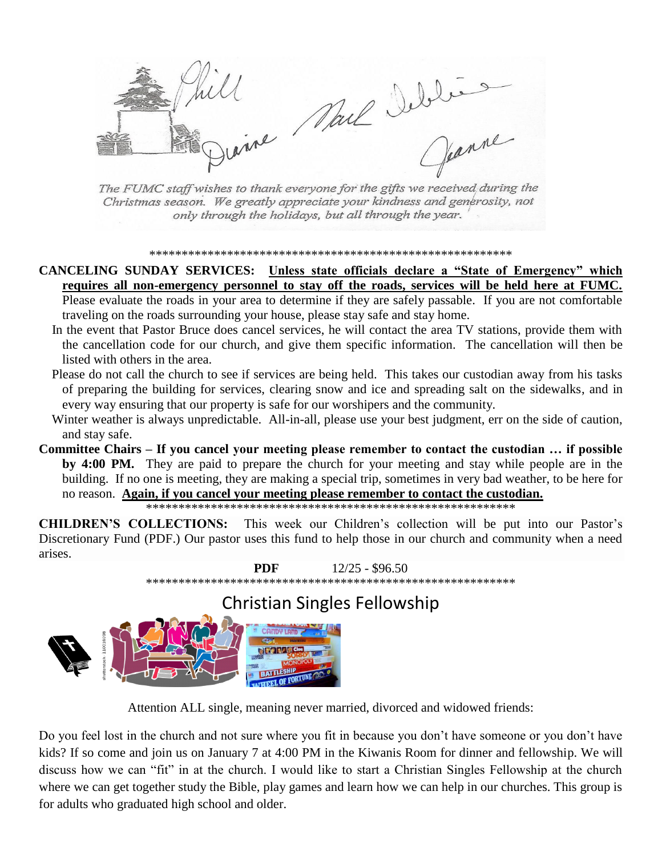Nail Iebles

The FUMC staff wishes to thank everyone for the gifts we received during the Christmas season. We greatly appreciate your kindness and generosity, not only through the holidays, but all through the year.

#### 

CANCELING SUNDAY SERVICES: Unless state officials declare a "State of Emergency" which requires all non-emergency personnel to stay off the roads, services will be held here at FUMC. Please evaluate the roads in your area to determine if they are safely passable. If you are not comfortable traveling on the roads surrounding your house, please stay safe and stay home.

- In the event that Pastor Bruce does cancel services, he will contact the area TV stations, provide them with the cancellation code for our church, and give them specific information. The cancellation will then be listed with others in the area.
- Please do not call the church to see if services are being held. This takes our custodian away from his tasks of preparing the building for services, clearing snow and ice and spreading salt on the sidewalks, and in every way ensuring that our property is safe for our worshipers and the community.
- Winter weather is always unpredictable. All-in-all, please use your best judgment, err on the side of caution, and stay safe.
- Committee Chairs If you cancel your meeting please remember to contact the custodian ... if possible by 4:00 PM. They are paid to prepare the church for your meeting and stay while people are in the building. If no one is meeting, they are making a special trip, sometimes in very bad weather, to be here for no reason. Again, if you cancel your meeting please remember to contact the custodian.

**CHILDREN'S COLLECTIONS:** This week our Children's collection will be put into our Pastor's Discretionary Fund (PDF.) Our pastor uses this fund to help those in our church and community when a need arises.



# **Christian Singles Fellowship**



Attention ALL single, meaning never married, divorced and widowed friends:

Do you feel lost in the church and not sure where you fit in because you don't have someone or you don't have kids? If so come and join us on January 7 at 4:00 PM in the Kiwanis Room for dinner and fellowship. We will discuss how we can "fit" in at the church. I would like to start a Christian Singles Fellowship at the church where we can get together study the Bible, play games and learn how we can help in our churches. This group is for adults who graduated high school and older.